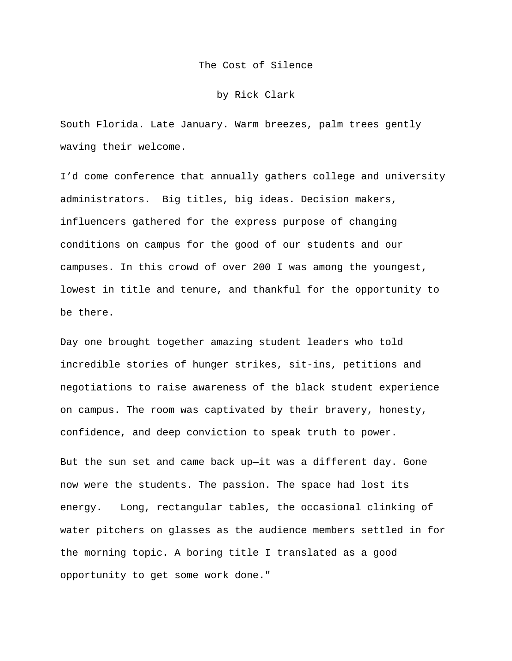The Cost of Silence

## by Rick Clark

South Florida. Late January. Warm breezes, palm trees gently waving their welcome.

I'd come conference that annually gathers college and university administrators. Big titles, big ideas. Decision makers, influencers gathered for the express purpose of changing conditions on campus for the good of our students and our campuses. In this crowd of over 200 I was among the youngest, lowest in title and tenure, and thankful for the opportunity to be there.

Day one brought together amazing student leaders who told incredible stories of hunger strikes, sit-ins, petitions and negotiations to raise awareness of the black student experience on campus. The room was captivated by their bravery, honesty, confidence, and deep conviction to speak truth to power.

But the sun set and came back up—it was a different day. Gone now were the students. The passion. The space had lost its energy. Long, rectangular tables, the occasional clinking of water pitchers on glasses as the audience members settled in for the morning topic. A boring title I translated as a good opportunity to get some work done."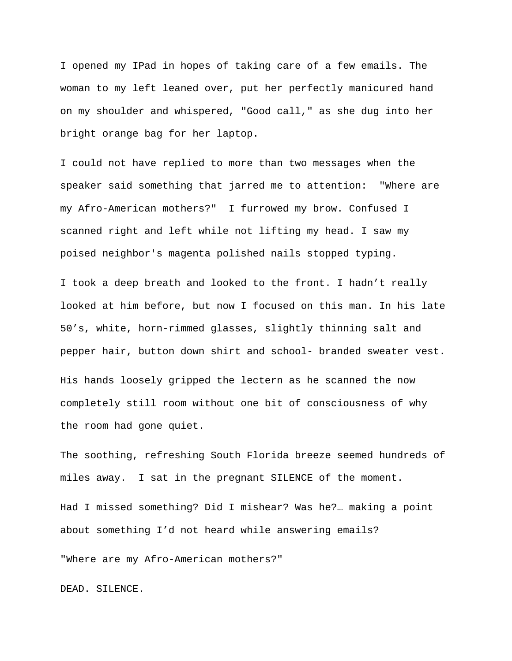I opened my IPad in hopes of taking care of a few emails. The woman to my left leaned over, put her perfectly manicured hand on my shoulder and whispered, "Good call," as she dug into her bright orange bag for her laptop.

I could not have replied to more than two messages when the speaker said something that jarred me to attention: "Where are my Afro-American mothers?" I furrowed my brow. Confused I scanned right and left while not lifting my head. I saw my poised neighbor's magenta polished nails stopped typing.

I took a deep breath and looked to the front. I hadn't really looked at him before, but now I focused on this man. In his late 50's, white, horn-rimmed glasses, slightly thinning salt and pepper hair, button down shirt and school- branded sweater vest. His hands loosely gripped the lectern as he scanned the now completely still room without one bit of consciousness of why

the room had gone quiet.

The soothing, refreshing South Florida breeze seemed hundreds of miles away. I sat in the pregnant SILENCE of the moment.

Had I missed something? Did I mishear? Was he?… making a point about something I'd not heard while answering emails?

"Where are my Afro-American mothers?"

DEAD. SILENCE.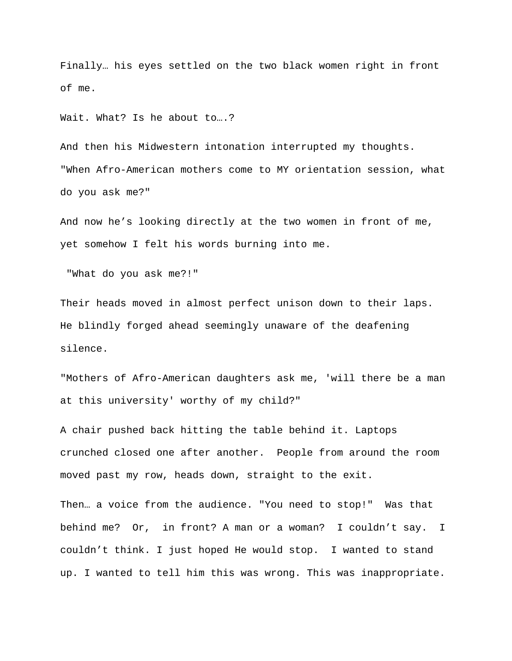Finally… his eyes settled on the two black women right in front of me.

Wait. What? Is he about to….?

And then his Midwestern intonation interrupted my thoughts. "When Afro-American mothers come to MY orientation session, what do you ask me?"

And now he's looking directly at the two women in front of me, yet somehow I felt his words burning into me.

"What do you ask me?!"

Their heads moved in almost perfect unison down to their laps. He blindly forged ahead seemingly unaware of the deafening silence.

"Mothers of Afro-American daughters ask me, 'will there be a man at this university' worthy of my child?"

A chair pushed back hitting the table behind it. Laptops crunched closed one after another. People from around the room moved past my row, heads down, straight to the exit.

Then… a voice from the audience. "You need to stop!" Was that behind me? Or, in front? A man or a woman? I couldn't say. I couldn't think. I just hoped He would stop. I wanted to stand up. I wanted to tell him this was wrong. This was inappropriate.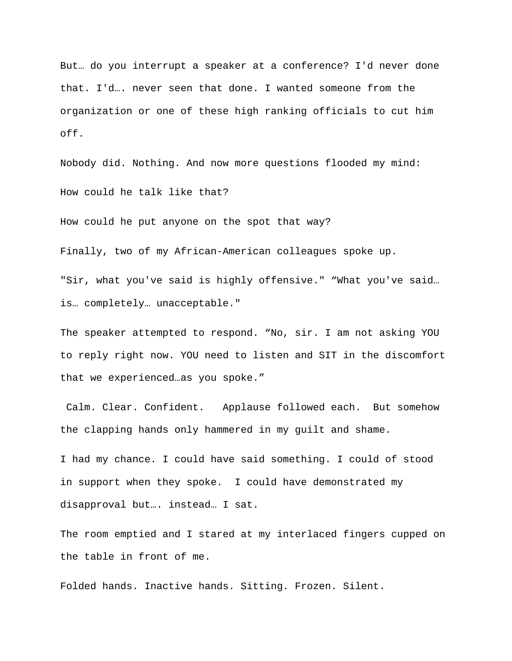But… do you interrupt a speaker at a conference? I'd never done that. I'd…. never seen that done. I wanted someone from the organization or one of these high ranking officials to cut him off.

Nobody did. Nothing. And now more questions flooded my mind: How could he talk like that?

How could he put anyone on the spot that way?

Finally, two of my African-American colleagues spoke up.

"Sir, what you've said is highly offensive." "What you've said… is… completely… unacceptable."

The speaker attempted to respond. "No, sir. I am not asking YOU to reply right now. YOU need to listen and SIT in the discomfort that we experienced…as you spoke."

Calm. Clear. Confident. Applause followed each. But somehow the clapping hands only hammered in my guilt and shame.

I had my chance. I could have said something. I could of stood in support when they spoke. I could have demonstrated my disapproval but…. instead… I sat.

The room emptied and I stared at my interlaced fingers cupped on the table in front of me.

Folded hands. Inactive hands. Sitting. Frozen. Silent.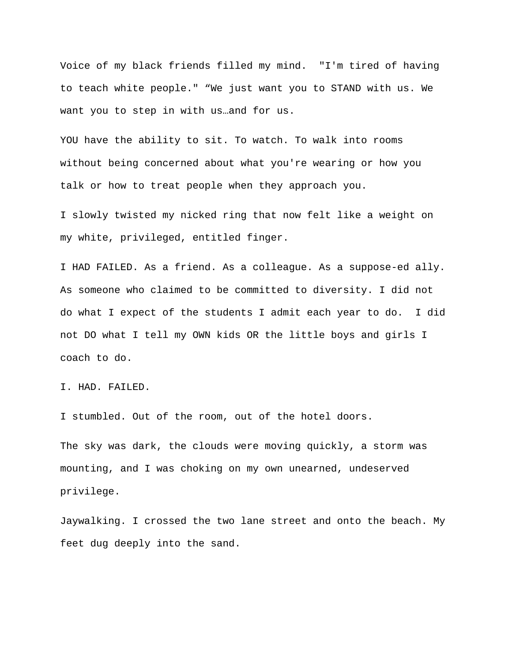Voice of my black friends filled my mind. "I'm tired of having to teach white people." "We just want you to STAND with us. We want you to step in with us…and for us.

YOU have the ability to sit. To watch. To walk into rooms without being concerned about what you're wearing or how you talk or how to treat people when they approach you.

I slowly twisted my nicked ring that now felt like a weight on my white, privileged, entitled finger.

I HAD FAILED. As a friend. As a colleague. As a suppose-ed ally. As someone who claimed to be committed to diversity. I did not do what I expect of the students I admit each year to do. I did not DO what I tell my OWN kids OR the little boys and girls I coach to do.

I. HAD. FAILED.

I stumbled. Out of the room, out of the hotel doors.

The sky was dark, the clouds were moving quickly, a storm was mounting, and I was choking on my own unearned, undeserved privilege.

Jaywalking. I crossed the two lane street and onto the beach. My feet dug deeply into the sand.